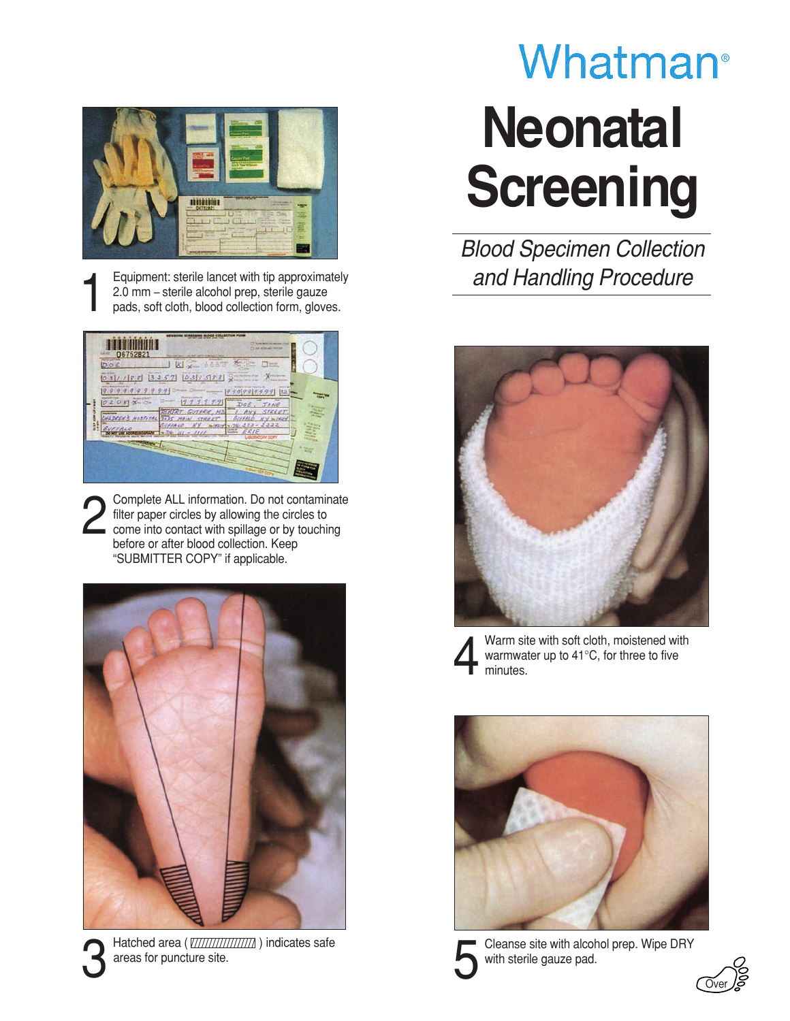

Equipment: sterile lancet with tip approximately<br>
2.0 mm – sterile alcohol prep, sterile gauze<br>
pads, soft cloth, blood collection form, gloves. 2.0 mm – sterile alcohol prep, sterile gauze

| 06752821                                                                        | <b>STANDARD AND STANDARD</b><br><b>77 Year Mint Avenue</b><br>SERVICES SERVICE<br><b>CHART ANTILOG BOARD FAND</b>                                                                                                       |
|---------------------------------------------------------------------------------|-------------------------------------------------------------------------------------------------------------------------------------------------------------------------------------------------------------------------|
| <b>Migran Look Trant</b><br>DOE<br><b>June of Bords</b>                         | <b>Mind of the Rent</b><br>66873<br>K<br><b>Color</b><br>Note to                                                                                                                                                        |
| 3<br><b>Scott of the </b><br>99<br>-2                                           | 031588<br><b>TANK ATEA</b><br><b>American School Service</b><br>-<br>99999<br>999<br>a<br>拉之                                                                                                                            |
| <b>Building ByD</b><br>$208$ $N+10+$<br><b><i><u>Street Contractors</u></i></b> | <b>AUTOR LINES</b><br><b>MARINE</b><br>19.9<br>$-9.9$<br>Doc<br>JANE<br>ROBERT GUIARIE, MZ<br>STEERT<br>n.                                                                                                              |
| <b>ADREN'S HOSPITAL JAJS M</b><br>UFFALO                                        | CTERET<br><b>Jul 24214</b><br><b>Hot lot a</b><br>2332<br>SUFFALO<br>$NY = \frac{1}{2} \sqrt{162 \pi V}$<br>222<br><b>WITHEI</b><br>$\sim$<br><b>Side Street</b><br><b>COLUM</b><br>$100 - 6$<br>ERIE<br><b>Wido La</b> |
|                                                                                 | LABIORATISM COPY<br><b>TRUNK</b>                                                                                                                                                                                        |
|                                                                                 |                                                                                                                                                                                                                         |

2 Complete ALL information. Do not contaminate<br>filter paper circles by allowing the circles to<br>come into contact with spillage or by touching<br>before as after blood collection. Keep filter paper circles by allowing the circles to come into contact with spillage or by touching before or after blood collection. Keep "SUBMITTER COPY" if applicable.



**1** Hatched area (*VIIIIIIIIIIIIIIIII*) indicates safe<br>areas for puncture site. areas for puncture site.

## Whatman<sup>®</sup> **Neonatal Screening**

*Blood Specimen Collection and Handling Procedure*





Warm site with soft cloth, moistened with<br>warmwater up to  $41^{\circ}$ C, for three to five<br>minutes. warmwater up to 41°C, for three to five minutes.





5 Cleanse site with alcohol prep. Wipe DRY with sterile gauze pad.